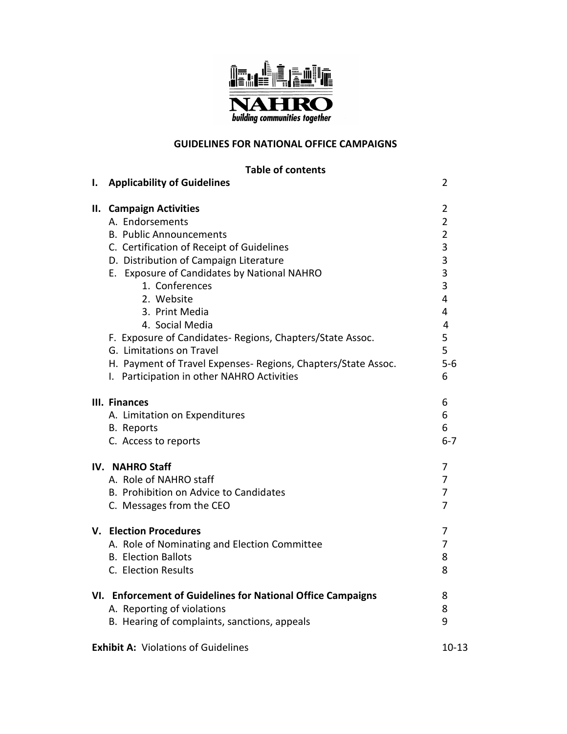

# **GUIDELINES FOR NATIONAL OFFICE CAMPAIGNS**

**Table of contents**

| ı.                                                      | <b>Applicability of Guidelines</b>                                                                                                                                                                                                                                                                                                                                                                                                                                                              | 2                                                                                                                          |
|---------------------------------------------------------|-------------------------------------------------------------------------------------------------------------------------------------------------------------------------------------------------------------------------------------------------------------------------------------------------------------------------------------------------------------------------------------------------------------------------------------------------------------------------------------------------|----------------------------------------------------------------------------------------------------------------------------|
|                                                         | II. Campaign Activities<br>A. Endorsements<br><b>B. Public Announcements</b><br>C. Certification of Receipt of Guidelines<br>D. Distribution of Campaign Literature<br>E. Exposure of Candidates by National NAHRO<br>1. Conferences<br>2. Website<br>3. Print Media<br>4. Social Media<br>F. Exposure of Candidates- Regions, Chapters/State Assoc.<br>G. Limitations on Travel<br>H. Payment of Travel Expenses- Regions, Chapters/State Assoc.<br>I. Participation in other NAHRO Activities | $\overline{2}$<br>$\overline{2}$<br>$\overline{2}$<br>3<br>3<br>3<br>3<br>4<br>4<br>$\overline{4}$<br>5<br>5<br>$5-6$<br>6 |
|                                                         | III. Finances<br>A. Limitation on Expenditures<br><b>B.</b> Reports<br>C. Access to reports                                                                                                                                                                                                                                                                                                                                                                                                     | 6<br>6<br>6<br>$6 - 7$                                                                                                     |
|                                                         | IV. NAHRO Staff<br>A. Role of NAHRO staff<br>B. Prohibition on Advice to Candidates<br>C. Messages from the CEO                                                                                                                                                                                                                                                                                                                                                                                 | 7<br>7<br>7<br>$\overline{7}$                                                                                              |
|                                                         | V. Election Procedures<br>A. Role of Nominating and Election Committee<br><b>B. Election Ballots</b><br>C. Election Results                                                                                                                                                                                                                                                                                                                                                                     | 7<br>$\overline{7}$<br>8<br>8                                                                                              |
|                                                         | VI. Enforcement of Guidelines for National Office Campaigns<br>A. Reporting of violations<br>B. Hearing of complaints, sanctions, appeals                                                                                                                                                                                                                                                                                                                                                       | 8<br>8<br>9                                                                                                                |
| <b>Exhibit A: Violations of Guidelines</b><br>$10 - 13$ |                                                                                                                                                                                                                                                                                                                                                                                                                                                                                                 |                                                                                                                            |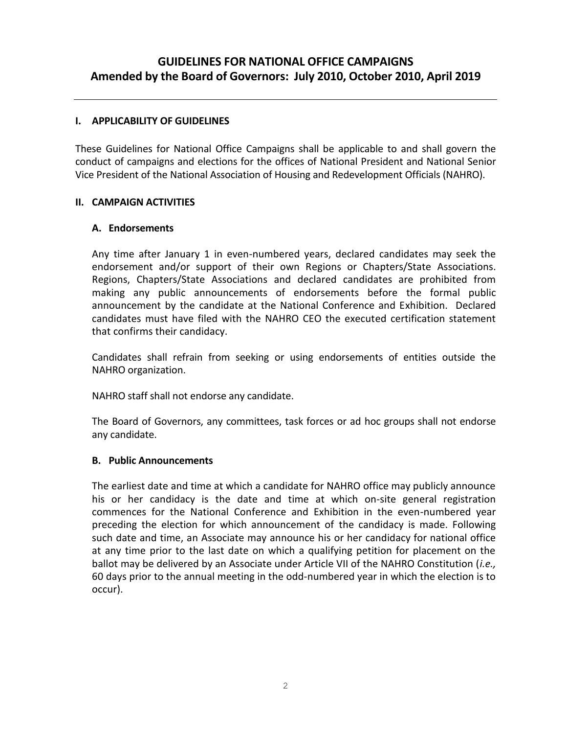# **GUIDELINES FOR NATIONAL OFFICE CAMPAIGNS Amended by the Board of Governors: July 2010, October 2010, April 2019**

#### **I. APPLICABILITY OF GUIDELINES**

These Guidelines for National Office Campaigns shall be applicable to and shall govern the conduct of campaigns and elections for the offices of National President and National Senior Vice President of the National Association of Housing and Redevelopment Officials (NAHRO).

#### **II. CAMPAIGN ACTIVITIES**

#### **A. Endorsements**

Any time after January 1 in even-numbered years, declared candidates may seek the endorsement and/or support of their own Regions or Chapters/State Associations. Regions, Chapters/State Associations and declared candidates are prohibited from making any public announcements of endorsements before the formal public announcement by the candidate at the National Conference and Exhibition. Declared candidates must have filed with the NAHRO CEO the executed certification statement that confirms their candidacy.

Candidates shall refrain from seeking or using endorsements of entities outside the NAHRO organization.

NAHRO staff shall not endorse any candidate.

The Board of Governors, any committees, task forces or ad hoc groups shall not endorse any candidate.

#### **B. Public Announcements**

The earliest date and time at which a candidate for NAHRO office may publicly announce his or her candidacy is the date and time at which on-site general registration commences for the National Conference and Exhibition in the even-numbered year preceding the election for which announcement of the candidacy is made. Following such date and time, an Associate may announce his or her candidacy for national office at any time prior to the last date on which a qualifying petition for placement on the ballot may be delivered by an Associate under Article VII of the NAHRO Constitution (*i.e.,* 60 days prior to the annual meeting in the odd-numbered year in which the election is to occur).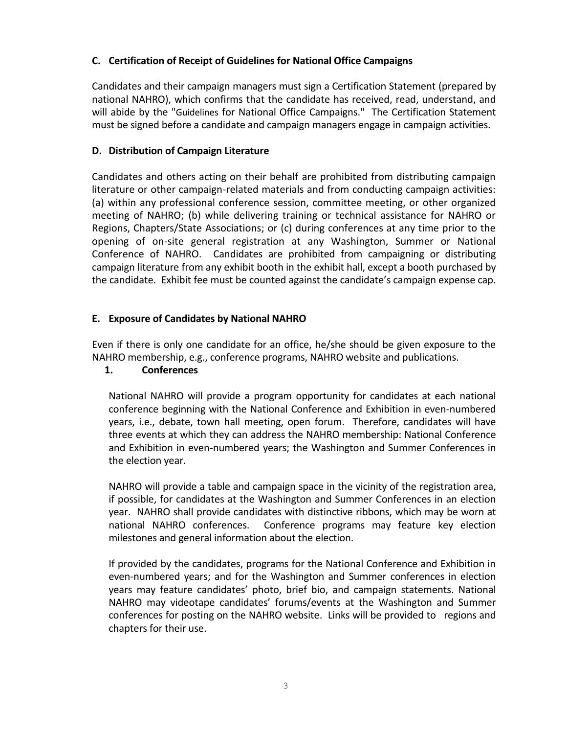# **C. Certification of Receipt of Guidelines for National Office Campaigns**

Candidates and their campaign managers must sign a Certification Statement (prepared by national NAHRO), which confirms that the candidate has received, read, understand, and will abide by the "Guidelines for National Office Campaigns." The Certification Statement must be signed before a candidate and campaign managers engage in campaign activities.

# **D. Distribution of Campaign Literature**

Candidates and others acting on their behalf are prohibited from distributing campaign literature or other campaign-related materials and from conducting campaign activities: (a) within any professional conference session, committee meeting, or other organized meeting of NAHRO; (b) while delivering training or technical assistance for NAHRO or Regions, Chapters/State Associations; or (c) during conferences at any time prior to the opening of on-site general registration at any Washington, Summer or National Conference of NAHRO. Candidates are prohibited from campaigning or distributing campaign literature from any exhibit booth in the exhibit hall, except a booth purchased by the candidate. Exhibit fee must be counted against the candidate's campaign expense cap.

# **E. Exposure of Candidates by National NAHRO**

Even if there is only one candidate for an office, he/she should be given exposure to the NAHRO membership, e.g., conference programs, NAHRO website and publications.

# **1. Conferences**

National NAHRO will provide a program opportunity for candidates at each national conference beginning with the National Conference and Exhibition in even-numbered years, i.e., debate, town hall meeting, open forum. Therefore, candidates will have three events at which they can address the NAHRO membership: National Conference and Exhibition in even-numbered years; the Washington and Summer Conferences in the election year.

NAHRO will provide a table and campaign space in the vicinity of the registration area, if possible, for candidates at the Washington and Summer Conferences in an election year. NAHRO shall provide candidates with distinctive ribbons, which may be worn at national NAHRO conferences. Conference programs may feature key election milestones and general information about the election.

If provided by the candidates, programs for the National Conference and Exhibition in even-numbered years; and for the Washington and Summer conferences in election years may feature candidates' photo, brief bio, and campaign statements. National NAHRO may videotape candidates' forums/events at the Washington and Summer conferences for posting on the NAHRO website. Links will be provided to regions and chapters for their use.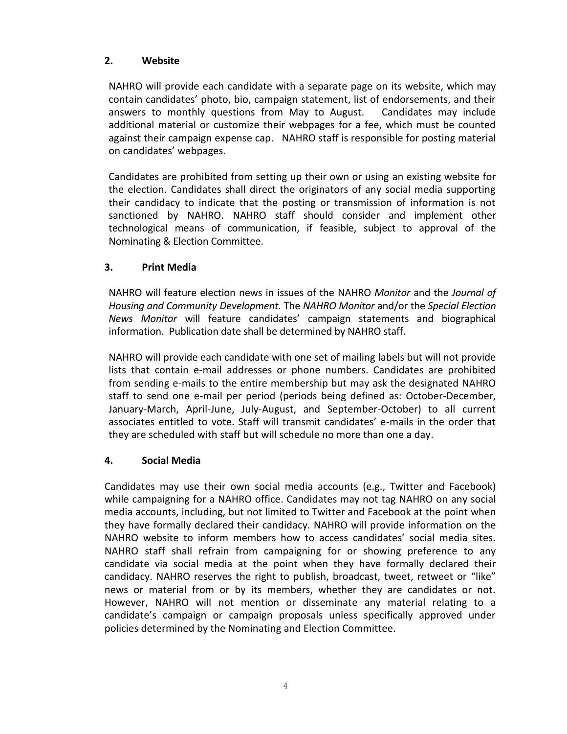# **2. Website**

NAHRO will provide each candidate with a separate page on its website, which may contain candidates' photo, bio, campaign statement, list of endorsements, and their answers to monthly questions from May to August. Candidates may include additional material or customize their webpages for a fee, which must be counted against their campaign expense cap. NAHRO staff is responsible for posting material on candidates' webpages.

Candidates are prohibited from setting up their own or using an existing website for the election. Candidates shall direct the originators of any social media supporting their candidacy to indicate that the posting or transmission of information is not sanctioned by NAHRO. NAHRO staff should consider and implement other technological means of communication, if feasible, subject to approval of the Nominating & Election Committee.

# **3. Print Media**

NAHRO will feature election news in issues of the NAHRO *Monitor* and the *Journal of Housing and Community Development.* The *NAHRO Monitor* and/or the *Special Election News Monitor* will feature candidates' campaign statements and biographical information. Publication date shall be determined by NAHRO staff.

NAHRO will provide each candidate with one set of mailing labels but will not provide lists that contain e-mail addresses or phone numbers. Candidates are prohibited from sending e-mails to the entire membership but may ask the designated NAHRO staff to send one e-mail per period (periods being defined as: October-December, January-March, April-June, July-August, and September-October) to all current associates entitled to vote. Staff will transmit candidates' e-mails in the order that they are scheduled with staff but will schedule no more than one a day.

# **4. Social Media**

Candidates may use their own social media accounts (e.g., Twitter and Facebook) while campaigning for a NAHRO office. Candidates may not tag NAHRO on any social media accounts, including, but not limited to Twitter and Facebook at the point when they have formally declared their candidacy. NAHRO will provide information on the NAHRO website to inform members how to access candidates' social media sites. NAHRO staff shall refrain from campaigning for or showing preference to any candidate via social media at the point when they have formally declared their candidacy. NAHRO reserves the right to publish, broadcast, tweet, retweet or "like" news or material from or by its members, whether they are candidates or not. However, NAHRO will not mention or disseminate any material relating to a candidate's campaign or campaign proposals unless specifically approved under policies determined by the Nominating and Election Committee.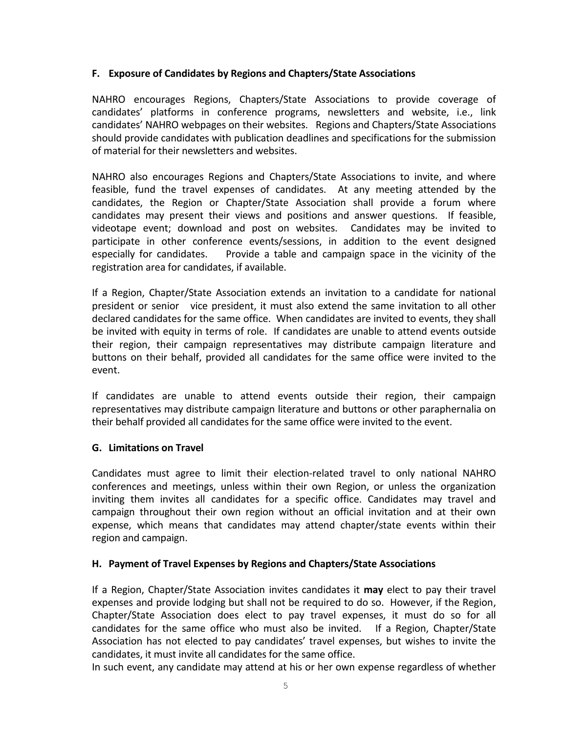### **F. Exposure of Candidates by Regions and Chapters/State Associations**

NAHRO encourages Regions, Chapters/State Associations to provide coverage of candidates' platforms in conference programs, newsletters and website, i.e., link candidates' NAHRO webpages on their websites. Regions and Chapters/State Associations should provide candidates with publication deadlines and specifications for the submission of material for their newsletters and websites.

NAHRO also encourages Regions and Chapters/State Associations to invite, and where feasible, fund the travel expenses of candidates. At any meeting attended by the candidates, the Region or Chapter/State Association shall provide a forum where candidates may present their views and positions and answer questions. If feasible, videotape event; download and post on websites. Candidates may be invited to participate in other conference events/sessions, in addition to the event designed especially for candidates. Provide a table and campaign space in the vicinity of the registration area for candidates, if available.

If a Region, Chapter/State Association extends an invitation to a candidate for national president or senior vice president, it must also extend the same invitation to all other declared candidates for the same office. When candidates are invited to events, they shall be invited with equity in terms of role. If candidates are unable to attend events outside their region, their campaign representatives may distribute campaign literature and buttons on their behalf, provided all candidates for the same office were invited to the event.

If candidates are unable to attend events outside their region, their campaign representatives may distribute campaign literature and buttons or other paraphernalia on their behalf provided all candidates for the same office were invited to the event.

### **G. Limitations on Travel**

Candidates must agree to limit their election-related travel to only national NAHRO conferences and meetings, unless within their own Region, or unless the organization inviting them invites all candidates for a specific office. Candidates may travel and campaign throughout their own region without an official invitation and at their own expense, which means that candidates may attend chapter/state events within their region and campaign.

# **H. Payment of Travel Expenses by Regions and Chapters/State Associations**

If a Region, Chapter/State Association invites candidates it **may** elect to pay their travel expenses and provide lodging but shall not be required to do so. However, if the Region, Chapter/State Association does elect to pay travel expenses, it must do so for all candidates for the same office who must also be invited. If a Region, Chapter/State Association has not elected to pay candidates' travel expenses, but wishes to invite the candidates, it must invite all candidates for the same office.

In such event, any candidate may attend at his or her own expense regardless of whether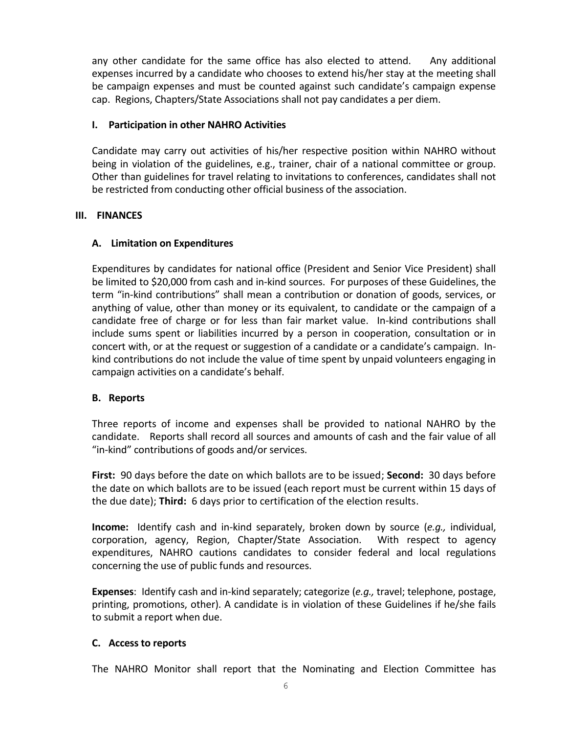any other candidate for the same office has also elected to attend. Any additional expenses incurred by a candidate who chooses to extend his/her stay at the meeting shall be campaign expenses and must be counted against such candidate's campaign expense cap. Regions, Chapters/State Associations shall not pay candidates a per diem.

# **I. Participation in other NAHRO Activities**

Candidate may carry out activities of his/her respective position within NAHRO without being in violation of the guidelines, e.g., trainer, chair of a national committee or group. Other than guidelines for travel relating to invitations to conferences, candidates shall not be restricted from conducting other official business of the association.

### **III. FINANCES**

# **A. Limitation on Expenditures**

Expenditures by candidates for national office (President and Senior Vice President) shall be limited to \$20,000 from cash and in-kind sources. For purposes of these Guidelines, the term "in-kind contributions" shall mean a contribution or donation of goods, services, or anything of value, other than money or its equivalent, to candidate or the campaign of a candidate free of charge or for less than fair market value. In-kind contributions shall include sums spent or liabilities incurred by a person in cooperation, consultation or in concert with, or at the request or suggestion of a candidate or a candidate's campaign. Inkind contributions do not include the value of time spent by unpaid volunteers engaging in campaign activities on a candidate's behalf.

# **B. Reports**

Three reports of income and expenses shall be provided to national NAHRO by the candidate. Reports shall record all sources and amounts of cash and the fair value of all "in-kind" contributions of goods and/or services.

**First:** 90 days before the date on which ballots are to be issued; **Second:** 30 days before the date on which ballots are to be issued (each report must be current within 15 days of the due date); **Third:** 6 days prior to certification of the election results.

**Income:** Identify cash and in-kind separately, broken down by source (*e.g.,* individual, corporation, agency, Region, Chapter/State Association. With respect to agency expenditures, NAHRO cautions candidates to consider federal and local regulations concerning the use of public funds and resources.

**Expenses**: Identify cash and in-kind separately; categorize (*e.g.,* travel; telephone, postage, printing, promotions, other). A candidate is in violation of these Guidelines if he/she fails to submit a report when due.

### **C. Access to reports**

The NAHRO Monitor shall report that the Nominating and Election Committee has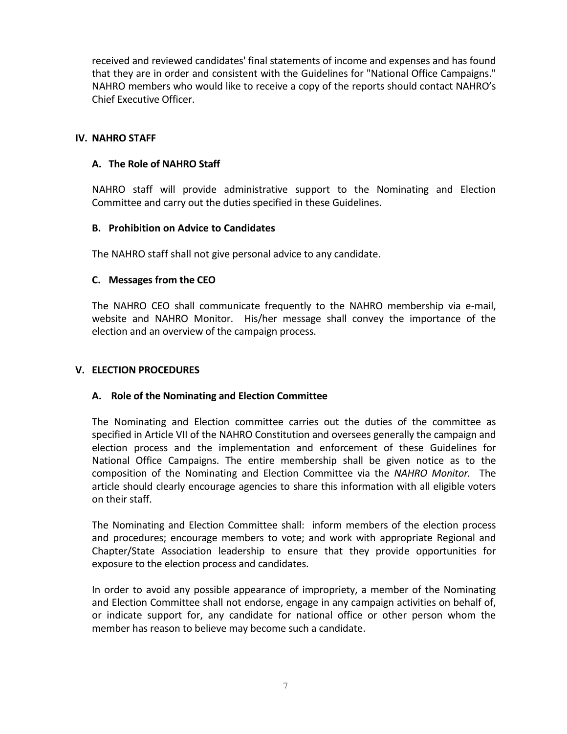received and reviewed candidates' final statements of income and expenses and has found that they are in order and consistent with the Guidelines for "National Office Campaigns." NAHRO members who would like to receive a copy of the reports should contact NAHRO's Chief Executive Officer.

### **IV. NAHRO STAFF**

# **A. The Role of NAHRO Staff**

NAHRO staff will provide administrative support to the Nominating and Election Committee and carry out the duties specified in these Guidelines.

# **B. Prohibition on Advice to Candidates**

The NAHRO staff shall not give personal advice to any candidate.

# **C. Messages from the CEO**

The NAHRO CEO shall communicate frequently to the NAHRO membership via e-mail, website and NAHRO Monitor. His/her message shall convey the importance of the election and an overview of the campaign process.

### **V. ELECTION PROCEDURES**

### **A. Role of the Nominating and Election Committee**

The Nominating and Election committee carries out the duties of the committee as specified in Article VII of the NAHRO Constitution and oversees generally the campaign and election process and the implementation and enforcement of these Guidelines for National Office Campaigns. The entire membership shall be given notice as to the composition of the Nominating and Election Committee via the *NAHRO Monitor.* The article should clearly encourage agencies to share this information with all eligible voters on their staff.

The Nominating and Election Committee shall: inform members of the election process and procedures; encourage members to vote; and work with appropriate Regional and Chapter/State Association leadership to ensure that they provide opportunities for exposure to the election process and candidates.

In order to avoid any possible appearance of impropriety, a member of the Nominating and Election Committee shall not endorse, engage in any campaign activities on behalf of, or indicate support for, any candidate for national office or other person whom the member has reason to believe may become such a candidate.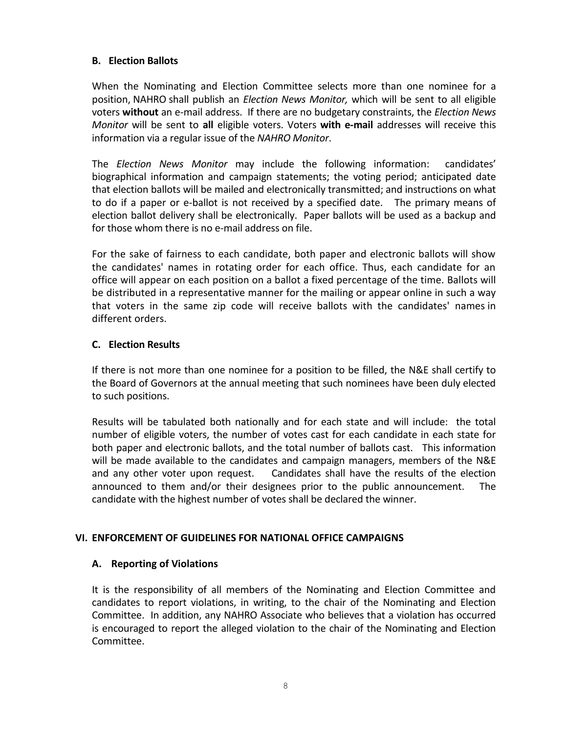# **B. Election Ballots**

When the Nominating and Election Committee selects more than one nominee for a position, NAHRO shall publish an *Election News Monitor,* which will be sent to all eligible voters **without** an e-mail address. If there are no budgetary constraints, the *Election News Monitor* will be sent to **all** eligible voters. Voters **with e-mail** addresses will receive this information via a regular issue of the *NAHRO Monitor*.

The *Election News Monitor* may include the following information: candidates' biographical information and campaign statements; the voting period; anticipated date that election ballots will be mailed and electronically transmitted; and instructions on what to do if a paper or e-ballot is not received by a specified date. The primary means of election ballot delivery shall be electronically. Paper ballots will be used as a backup and for those whom there is no e-mail address on file.

For the sake of fairness to each candidate, both paper and electronic ballots will show the candidates' names in rotating order for each office. Thus, each candidate for an office will appear on each position on a ballot a fixed percentage of the time. Ballots will be distributed in a representative manner for the mailing or appear online in such a way that voters in the same zip code will receive ballots with the candidates' names in different orders.

# **C. Election Results**

If there is not more than one nominee for a position to be filled, the N&E shall certify to the Board of Governors at the annual meeting that such nominees have been duly elected to such positions.

Results will be tabulated both nationally and for each state and will include: the total number of eligible voters, the number of votes cast for each candidate in each state for both paper and electronic ballots, and the total number of ballots cast. This information will be made available to the candidates and campaign managers, members of the N&E and any other voter upon request. Candidates shall have the results of the election announced to them and/or their designees prior to the public announcement. The candidate with the highest number of votes shall be declared the winner.

### **VI. ENFORCEMENT OF GUIDELINES FOR NATIONAL OFFICE CAMPAIGNS**

### **A. Reporting of Violations**

It is the responsibility of all members of the Nominating and Election Committee and candidates to report violations, in writing, to the chair of the Nominating and Election Committee. In addition, any NAHRO Associate who believes that a violation has occurred is encouraged to report the alleged violation to the chair of the Nominating and Election Committee.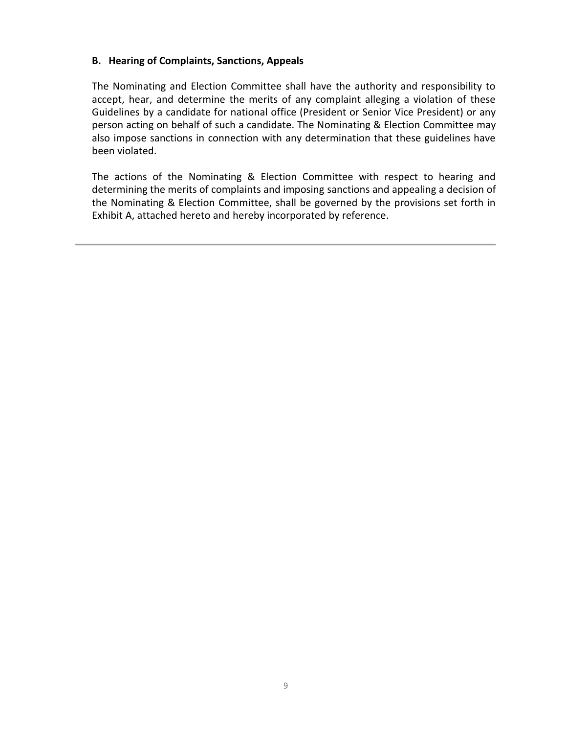#### **B. Hearing of Complaints, Sanctions, Appeals**

The Nominating and Election Committee shall have the authority and responsibility to accept, hear, and determine the merits of any complaint alleging a violation of these Guidelines by a candidate for national office (President or Senior Vice President) or any person acting on behalf of such a candidate. The Nominating & Election Committee may also impose sanctions in connection with any determination that these guidelines have been violated.

The actions of the Nominating & Election Committee with respect to hearing and determining the merits of complaints and imposing sanctions and appealing a decision of the Nominating & Election Committee, shall be governed by the provisions set forth in Exhibit A, attached hereto and hereby incorporated by reference.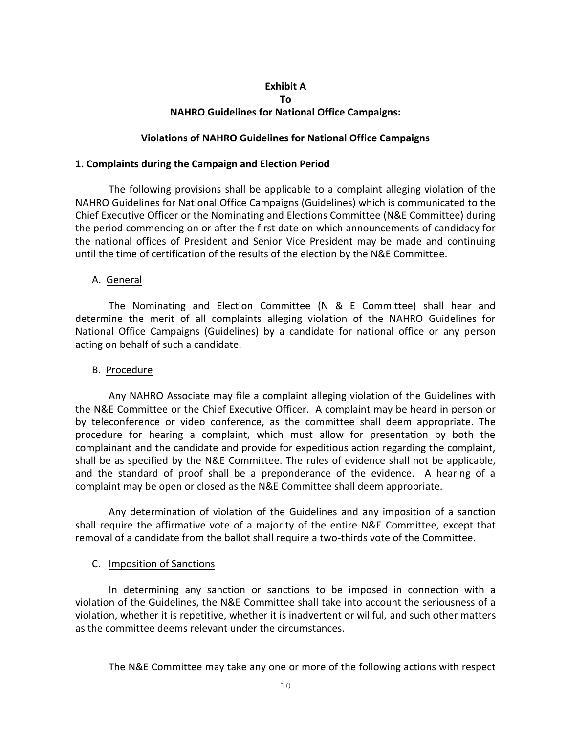#### **Exhibit A**

#### **To**

# **NAHRO Guidelines for National Office Campaigns:**

#### **Violations of NAHRO Guidelines for National Office Campaigns**

#### **1. Complaints during the Campaign and Election Period**

The following provisions shall be applicable to a complaint alleging violation of the NAHRO Guidelines for National Office Campaigns (Guidelines) which is communicated to the Chief Executive Officer or the Nominating and Elections Committee (N&E Committee) during the period commencing on or after the first date on which announcements of candidacy for the national offices of President and Senior Vice President may be made and continuing until the time of certification of the results of the election by the N&E Committee.

#### A. General

The Nominating and Election Committee (N & E Committee) shall hear and determine the merit of all complaints alleging violation of the NAHRO Guidelines for National Office Campaigns (Guidelines) by a candidate for national office or any person acting on behalf of such a candidate.

#### B. Procedure

Any NAHRO Associate may file a complaint alleging violation of the Guidelines with the N&E Committee or the Chief Executive Officer. A complaint may be heard in person or by teleconference or video conference, as the committee shall deem appropriate. The procedure for hearing a complaint, which must allow for presentation by both the complainant and the candidate and provide for expeditious action regarding the complaint, shall be as specified by the N&E Committee. The rules of evidence shall not be applicable, and the standard of proof shall be a preponderance of the evidence. A hearing of a complaint may be open or closed as the N&E Committee shall deem appropriate.

Any determination of violation of the Guidelines and any imposition of a sanction shall require the affirmative vote of a majority of the entire N&E Committee, except that removal of a candidate from the ballot shall require a two-thirds vote of the Committee.

### C. Imposition of Sanctions

In determining any sanction or sanctions to be imposed in connection with a violation of the Guidelines, the N&E Committee shall take into account the seriousness of a violation, whether it is repetitive, whether it is inadvertent or willful, and such other matters as the committee deems relevant under the circumstances.

The N&E Committee may take any one or more of the following actions with respect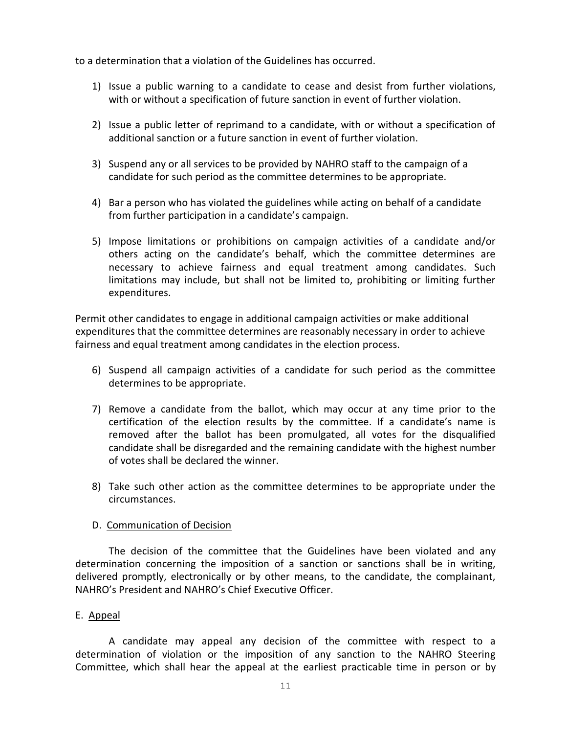to a determination that a violation of the Guidelines has occurred.

- 1) Issue a public warning to a candidate to cease and desist from further violations, with or without a specification of future sanction in event of further violation.
- 2) Issue a public letter of reprimand to a candidate, with or without a specification of additional sanction or a future sanction in event of further violation.
- 3) Suspend any or all services to be provided by NAHRO staff to the campaign of a candidate for such period as the committee determines to be appropriate.
- 4) Bar a person who has violated the guidelines while acting on behalf of a candidate from further participation in a candidate's campaign.
- 5) Impose limitations or prohibitions on campaign activities of a candidate and/or others acting on the candidate's behalf, which the committee determines are necessary to achieve fairness and equal treatment among candidates. Such limitations may include, but shall not be limited to, prohibiting or limiting further expenditures.

Permit other candidates to engage in additional campaign activities or make additional expenditures that the committee determines are reasonably necessary in order to achieve fairness and equal treatment among candidates in the election process.

- 6) Suspend all campaign activities of a candidate for such period as the committee determines to be appropriate.
- 7) Remove a candidate from the ballot, which may occur at any time prior to the certification of the election results by the committee. If a candidate's name is removed after the ballot has been promulgated, all votes for the disqualified candidate shall be disregarded and the remaining candidate with the highest number of votes shall be declared the winner.
- 8) Take such other action as the committee determines to be appropriate under the circumstances.

### D. Communication of Decision

The decision of the committee that the Guidelines have been violated and any determination concerning the imposition of a sanction or sanctions shall be in writing, delivered promptly, electronically or by other means, to the candidate, the complainant, NAHRO's President and NAHRO's Chief Executive Officer.

### E. Appeal

A candidate may appeal any decision of the committee with respect to a determination of violation or the imposition of any sanction to the NAHRO Steering Committee, which shall hear the appeal at the earliest practicable time in person or by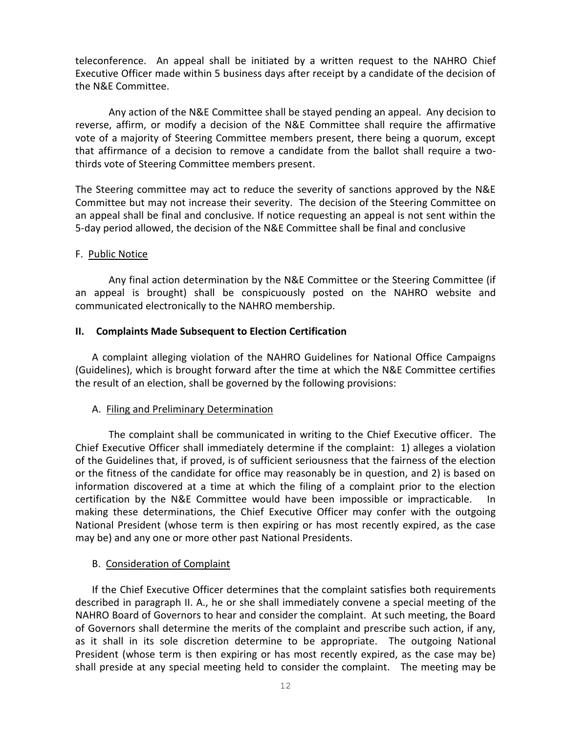teleconference. An appeal shall be initiated by a written request to the NAHRO Chief Executive Officer made within 5 business days after receipt by a candidate of the decision of the N&E Committee.

Any action of the N&E Committee shall be stayed pending an appeal. Any decision to reverse, affirm, or modify a decision of the N&E Committee shall require the affirmative vote of a majority of Steering Committee members present, there being a quorum, except that affirmance of a decision to remove a candidate from the ballot shall require a twothirds vote of Steering Committee members present.

The Steering committee may act to reduce the severity of sanctions approved by the N&E Committee but may not increase their severity. The decision of the Steering Committee on an appeal shall be final and conclusive. If notice requesting an appeal is not sent within the 5-day period allowed, the decision of the N&E Committee shall be final and conclusive

#### F. Public Notice

Any final action determination by the N&E Committee or the Steering Committee (if an appeal is brought) shall be conspicuously posted on the NAHRO website and communicated electronically to the NAHRO membership.

#### **II. Complaints Made Subsequent to Election Certification**

A complaint alleging violation of the NAHRO Guidelines for National Office Campaigns (Guidelines), which is brought forward after the time at which the N&E Committee certifies the result of an election, shall be governed by the following provisions:

### A. Filing and Preliminary Determination

The complaint shall be communicated in writing to the Chief Executive officer. The Chief Executive Officer shall immediately determine if the complaint: 1) alleges a violation of the Guidelines that, if proved, is of sufficient seriousness that the fairness of the election or the fitness of the candidate for office may reasonably be in question, and 2) is based on information discovered at a time at which the filing of a complaint prior to the election certification by the N&E Committee would have been impossible or impracticable. In making these determinations, the Chief Executive Officer may confer with the outgoing National President (whose term is then expiring or has most recently expired, as the case may be) and any one or more other past National Presidents.

### B. Consideration of Complaint

If the Chief Executive Officer determines that the complaint satisfies both requirements described in paragraph II. A., he or she shall immediately convene a special meeting of the NAHRO Board of Governors to hear and consider the complaint. At such meeting, the Board of Governors shall determine the merits of the complaint and prescribe such action, if any, as it shall in its sole discretion determine to be appropriate. The outgoing National President (whose term is then expiring or has most recently expired, as the case may be) shall preside at any special meeting held to consider the complaint. The meeting may be